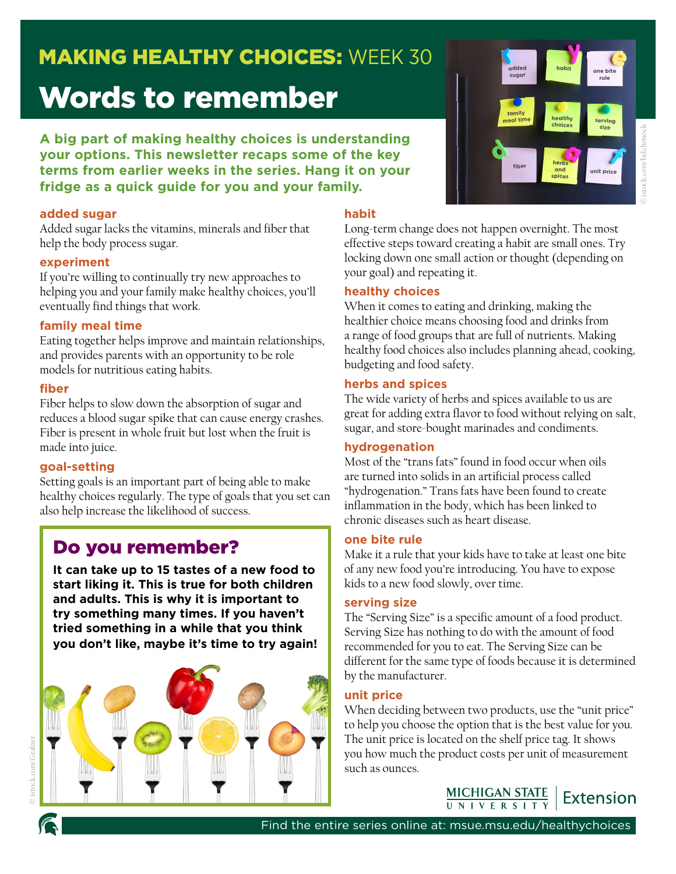## **MAKING HEALTHY CHOICES: WEEK 30**

# Words to remember

**A big part of making healthy choices is understanding your options. This newsletter recaps some of the key terms from earlier weeks in the series. Hang it on your fridge as a quick guide for you and your family.**

#### **added sugar**

Added sugar lacks the vitamins, minerals and fiber that help the body process sugar.

#### **experiment**

If you're willing to continually try new approaches to helping you and your family make healthy choices, you'll eventually find things that work.

#### **family meal time**

Eating together helps improve and maintain relationships, and provides parents with an opportunity to be role models for nutritious eating habits.

#### **fiber**

Fiber helps to slow down the absorption of sugar and reduces a blood sugar spike that can cause energy crashes. Fiber is present in whole fruit but lost when the fruit is made into juice.

#### **goal-setting**

Setting goals is an important part of being able to make healthy choices regularly. The type of goals that you set can also help increase the likelihood of success.

### Do you remember?

**It can take up to 15 tastes of a new food to start liking it. This is true for both children and adults. This is why it is important to try something many times. If you haven't tried something in a while that you think you don't like, maybe it's time to try again!**





#### **habit**

Long-term change does not happen overnight. The most effective steps toward creating a habit are small ones. Try locking down one small action or thought (depending on your goal) and repeating it.

#### **healthy choices**

When it comes to eating and drinking, making the healthier choice means choosing food and drinks from a range of food groups that are full of nutrients. Making healthy food choices also includes planning ahead, cooking, budgeting and food safety.

#### **herbs and spices**

The wide variety of herbs and spices available to us are great for adding extra flavor to food without relying on salt, sugar, and store-bought marinades and condiments.

#### **hydrogenation**

Most of the "trans fats" found in food occur when oils are turned into solids in an artificial process called "hydrogenation." Trans fats have been found to create inflammation in the body, which has been linked to chronic diseases such as heart disease.

#### **one bite rule**

Make it a rule that your kids have to take at least one bite of any new food you're introducing. You have to expose kids to a new food slowly, over time.

#### **serving size**

The "Serving Size" is a specific amount of a food product. Serving Size has nothing to do with the amount of food recommended for you to eat. The Serving Size can be different for the same type of foods because it is determined by the manufacturer.

#### **unit price**

When deciding between two products, use the "unit price" to help you choose the option that is the best value for you. The unit price is located on the shelf price tag. It shows you how much the product costs per unit of measurement such as ounces.